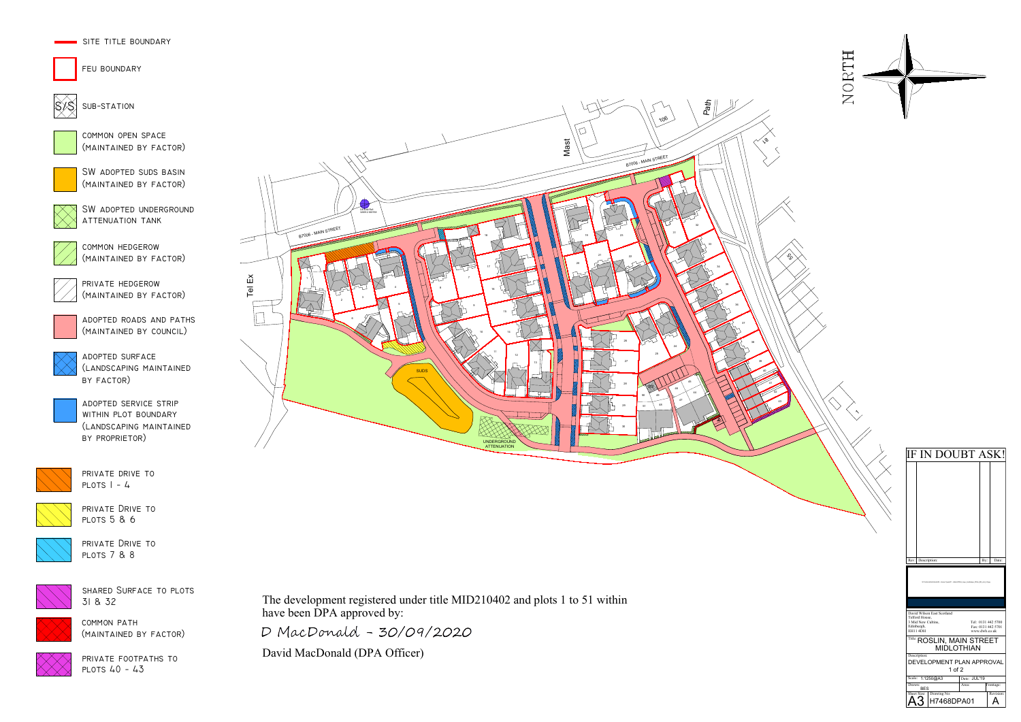

private drive to PLOTS  $1 - 4$ 



SW ADOPTED SUDS BASIN (maintained by factor)





feu boundary



 $|\Im \rangle$  sub-station



adopted service strip within plot boundary (landscaping maintained by proprietor)



adopted roads and paths (maintained by council)

common open space (maintained by factor)

adopted surface (landscaping maintained by factor)

SW adopted underground attenuation tank



private Drive to plots 5 & 6



shared Surface to plots 31 & 32



private footpaths to plots 40 - 43

private hedgerow (maintained by factor)



private Drive to plots 7 & 8



common hedgerow (maintained by factor)



common path (maintained by factor)



The development registered under title MID210402 and plots 1 to 51 within have been DPA approved by:

D MacDonald - 30/09/2020

David MacDonald (DPA Officer)

| $\ddot{\phantom{0}}$<br>IF IN DOUBT ASK! | Rev: Description:<br>By:<br>Date:<br>61-X<br>a Typeridt - Administrative Logo, Landscape, White, DG, Jml, A.D. jpg | David Wilson East Scotland<br>Telford House,<br>3 Mid New Cultins,<br>Tel: 0131 442 5700<br>Fax: 0131 442 5701<br>Edinburgh,<br><b>EH11 4DH</b><br>www.dwh.co.uk<br>Title: ROSLIN, MAIN STREET<br><b>MIDLOTHIAN</b><br>Description:<br>DEVELOPMENT PLAN APPROVAL |
|------------------------------------------|--------------------------------------------------------------------------------------------------------------------|------------------------------------------------------------------------------------------------------------------------------------------------------------------------------------------------------------------------------------------------------------------|
|                                          |                                                                                                                    |                                                                                                                                                                                                                                                                  |
|                                          |                                                                                                                    |                                                                                                                                                                                                                                                                  |
|                                          |                                                                                                                    |                                                                                                                                                                                                                                                                  |
|                                          |                                                                                                                    |                                                                                                                                                                                                                                                                  |
|                                          |                                                                                                                    |                                                                                                                                                                                                                                                                  |